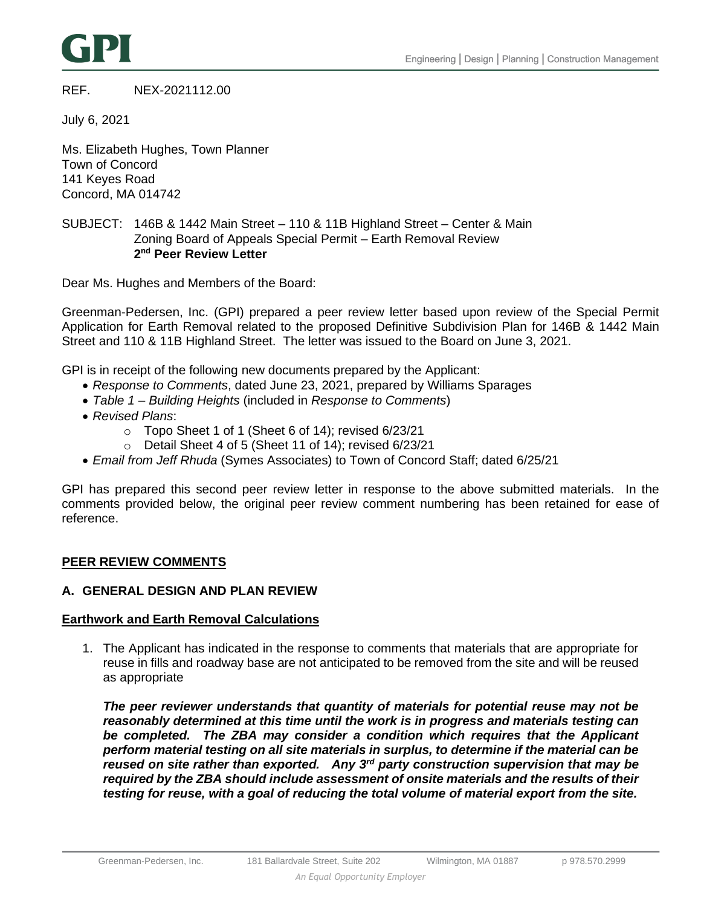

## REF. NEX-2021112.00

July 6, 2021

Ms. Elizabeth Hughes, Town Planner Town of Concord 141 Keyes Road Concord, MA 014742

# SUBJECT: 146B & 1442 Main Street – 110 & 11B Highland Street – Center & Main Zoning Board of Appeals Special Permit – Earth Removal Review **2 nd Peer Review Letter**

Dear Ms. Hughes and Members of the Board:

Greenman-Pedersen, Inc. (GPI) prepared a peer review letter based upon review of the Special Permit Application for Earth Removal related to the proposed Definitive Subdivision Plan for 146B & 1442 Main Street and 110 & 11B Highland Street. The letter was issued to the Board on June 3, 2021.

GPI is in receipt of the following new documents prepared by the Applicant:

- *Response to Comments*, dated June 23, 2021, prepared by Williams Sparages
- *Table 1 – Building Heights* (included in *Response to Comments*)
- *Revised Plans*:
	- o Topo Sheet 1 of 1 (Sheet 6 of 14); revised 6/23/21
	- o Detail Sheet 4 of 5 (Sheet 11 of 14); revised 6/23/21
- *Email from Jeff Rhuda* (Symes Associates) to Town of Concord Staff; dated 6/25/21

GPI has prepared this second peer review letter in response to the above submitted materials. In the comments provided below, the original peer review comment numbering has been retained for ease of reference.

#### **PEER REVIEW COMMENTS**

## **A. GENERAL DESIGN AND PLAN REVIEW**

#### **Earthwork and Earth Removal Calculations**

1. The Applicant has indicated in the response to comments that materials that are appropriate for reuse in fills and roadway base are not anticipated to be removed from the site and will be reused as appropriate

*The peer reviewer understands that quantity of materials for potential reuse may not be reasonably determined at this time until the work is in progress and materials testing can*  be completed. The **ZBA may consider a condition which requires that the Applicant** *perform material testing on all site materials in surplus, to determine if the material can be reused on site rather than exported. Any 3rd party construction supervision that may be required by the ZBA should include assessment of onsite materials and the results of their testing for reuse, with a goal of reducing the total volume of material export from the site.*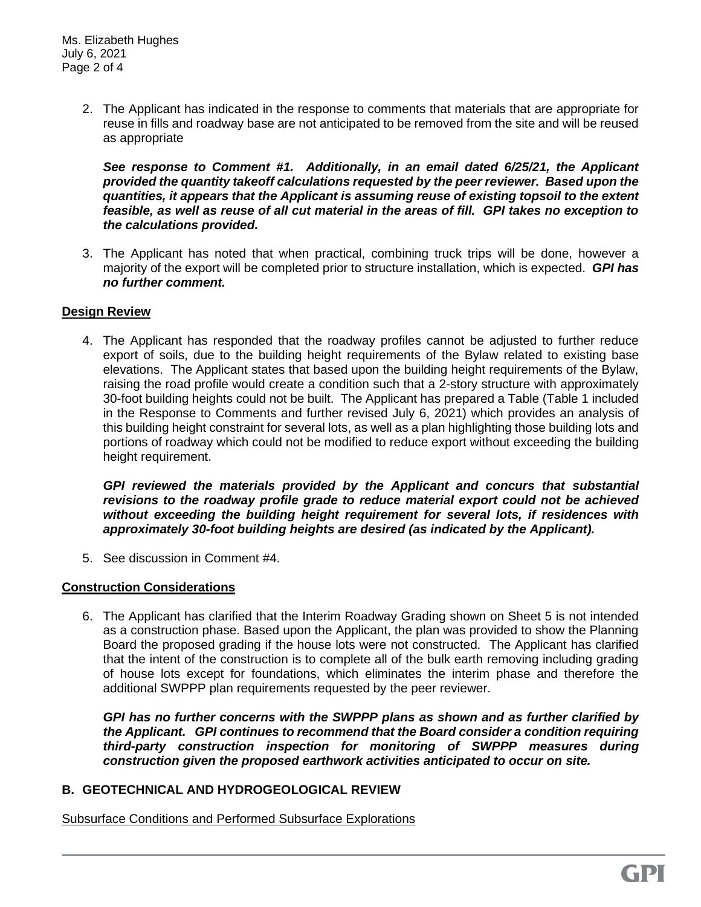2. The Applicant has indicated in the response to comments that materials that are appropriate for reuse in fills and roadway base are not anticipated to be removed from the site and will be reused as appropriate

*See response to Comment #1. Additionally, in an email dated 6/25/21, the Applicant provided the quantity takeoff calculations requested by the peer reviewer. Based upon the quantities, it appears that the Applicant is assuming reuse of existing topsoil to the extent feasible, as well as reuse of all cut material in the areas of fill. GPI takes no exception to the calculations provided.*

3. The Applicant has noted that when practical, combining truck trips will be done, however a majority of the export will be completed prior to structure installation, which is expected. *GPI has no further comment.*

# **Design Review**

4. The Applicant has responded that the roadway profiles cannot be adjusted to further reduce export of soils, due to the building height requirements of the Bylaw related to existing base elevations. The Applicant states that based upon the building height requirements of the Bylaw, raising the road profile would create a condition such that a 2-story structure with approximately 30-foot building heights could not be built. The Applicant has prepared a Table (Table 1 included in the Response to Comments and further revised July 6, 2021) which provides an analysis of this building height constraint for several lots, as well as a plan highlighting those building lots and portions of roadway which could not be modified to reduce export without exceeding the building height requirement.

*GPI reviewed the materials provided by the Applicant and concurs that substantial revisions to the roadway profile grade to reduce material export could not be achieved without exceeding the building height requirement for several lots, if residences with approximately 30-foot building heights are desired (as indicated by the Applicant).*

5. See discussion in Comment #4.

#### **Construction Considerations**

6. The Applicant has clarified that the Interim Roadway Grading shown on Sheet 5 is not intended as a construction phase. Based upon the Applicant, the plan was provided to show the Planning Board the proposed grading if the house lots were not constructed. The Applicant has clarified that the intent of the construction is to complete all of the bulk earth removing including grading of house lots except for foundations, which eliminates the interim phase and therefore the additional SWPPP plan requirements requested by the peer reviewer.

*GPI has no further concerns with the SWPPP plans as shown and as further clarified by the Applicant. GPI continues to recommend that the Board consider a condition requiring third-party construction inspection for monitoring of SWPPP measures during construction given the proposed earthwork activities anticipated to occur on site.*

# **B. GEOTECHNICAL AND HYDROGEOLOGICAL REVIEW**

Subsurface Conditions and Performed Subsurface Explorations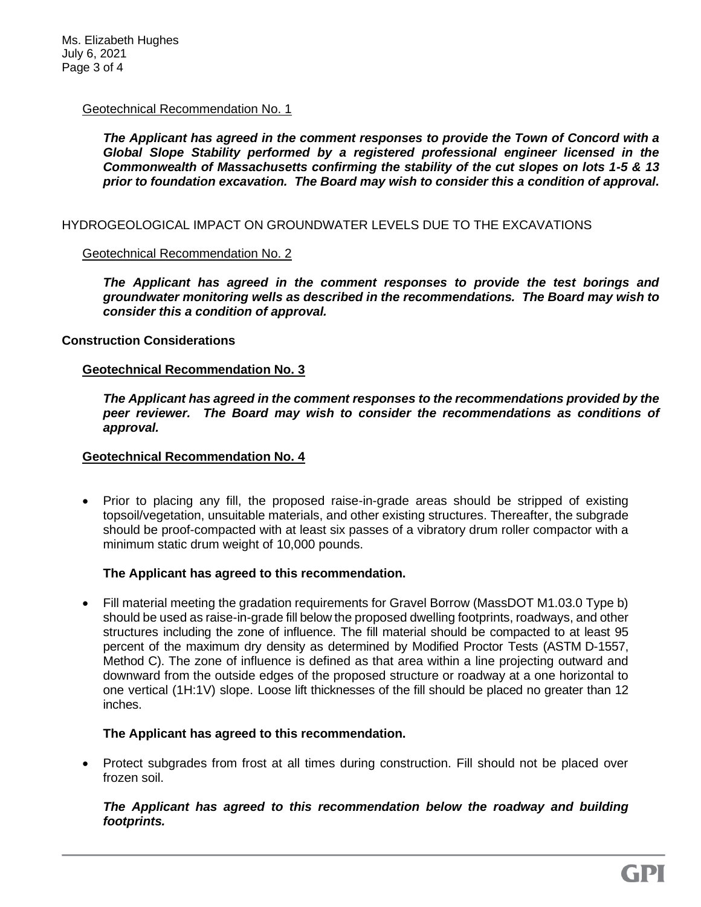## Geotechnical Recommendation No. 1

*The Applicant has agreed in the comment responses to provide the Town of Concord with a Global Slope Stability performed by a registered professional engineer licensed in the Commonwealth of Massachusetts confirming the stability of the cut slopes on lots 1-5 & 13 prior to foundation excavation. The Board may wish to consider this a condition of approval.*

### HYDROGEOLOGICAL IMPACT ON GROUNDWATER LEVELS DUE TO THE EXCAVATIONS

## Geotechnical Recommendation No. 2

*The Applicant has agreed in the comment responses to provide the test borings and groundwater monitoring wells as described in the recommendations. The Board may wish to consider this a condition of approval.*

## **Construction Considerations**

## **Geotechnical Recommendation No. 3**

*The Applicant has agreed in the comment responses to the recommendations provided by the peer reviewer. The Board may wish to consider the recommendations as conditions of approval.* 

### **Geotechnical Recommendation No. 4**

• Prior to placing any fill, the proposed raise-in-grade areas should be stripped of existing topsoil/vegetation, unsuitable materials, and other existing structures. Thereafter, the subgrade should be proof-compacted with at least six passes of a vibratory drum roller compactor with a minimum static drum weight of 10,000 pounds.

#### **The Applicant has agreed to this recommendation.**

• Fill material meeting the gradation requirements for Gravel Borrow (MassDOT M1.03.0 Type b) should be used as raise-in-grade fill below the proposed dwelling footprints, roadways, and other structures including the zone of influence. The fill material should be compacted to at least 95 percent of the maximum dry density as determined by Modified Proctor Tests (ASTM D-1557, Method C). The zone of influence is defined as that area within a line projecting outward and downward from the outside edges of the proposed structure or roadway at a one horizontal to one vertical (1H:1V) slope. Loose lift thicknesses of the fill should be placed no greater than 12 inches.

#### **The Applicant has agreed to this recommendation.**

• Protect subgrades from frost at all times during construction. Fill should not be placed over frozen soil.

## *The Applicant has agreed to this recommendation below the roadway and building footprints.*